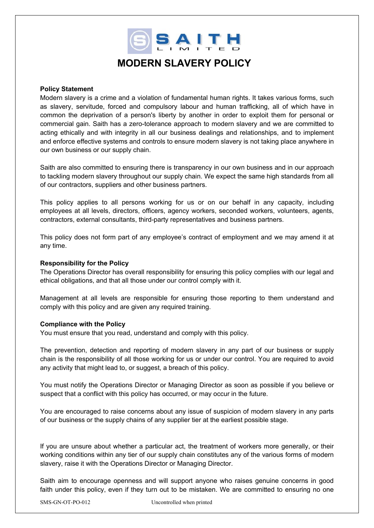

# **MODERN SLAVERY POLICY**

### **Policy Statement**

Modern slavery is a crime and a violation of fundamental human rights. It takes various forms, such as slavery, servitude, forced and compulsory labour and human trafficking, all of which have in common the deprivation of a person's liberty by another in order to exploit them for personal or commercial gain. Saith has a zero-tolerance approach to modern slavery and we are committed to acting ethically and with integrity in all our business dealings and relationships, and to implement and enforce effective systems and controls to ensure modern slavery is not taking place anywhere in our own business or our supply chain.

Saith are also committed to ensuring there is transparency in our own business and in our approach to tackling modern slavery throughout our supply chain. We expect the same high standards from all of our contractors, suppliers and other business partners.

This policy applies to all persons working for us or on our behalf in any capacity, including employees at all levels, directors, officers, agency workers, seconded workers, volunteers, agents, contractors, external consultants, third-party representatives and business partners.

This policy does not form part of any employee's contract of employment and we may amend it at any time.

## **Responsibility for the Policy**

The Operations Director has overall responsibility for ensuring this policy complies with our legal and ethical obligations, and that all those under our control comply with it.

Management at all levels are responsible for ensuring those reporting to them understand and comply with this policy and are given any required training.

#### **Compliance with the Policy**

You must ensure that you read, understand and comply with this policy.

The prevention, detection and reporting of modern slavery in any part of our business or supply chain is the responsibility of all those working for us or under our control. You are required to avoid any activity that might lead to, or suggest, a breach of this policy.

You must notify the Operations Director or Managing Director as soon as possible if you believe or suspect that a conflict with this policy has occurred, or may occur in the future.

You are encouraged to raise concerns about any issue of suspicion of modern slavery in any parts of our business or the supply chains of any supplier tier at the earliest possible stage.

If you are unsure about whether a particular act, the treatment of workers more generally, or their working conditions within any tier of our supply chain constitutes any of the various forms of modern slavery, raise it with the Operations Director or Managing Director.

Saith aim to encourage openness and will support anyone who raises genuine concerns in good faith under this policy, even if they turn out to be mistaken. We are committed to ensuring no one